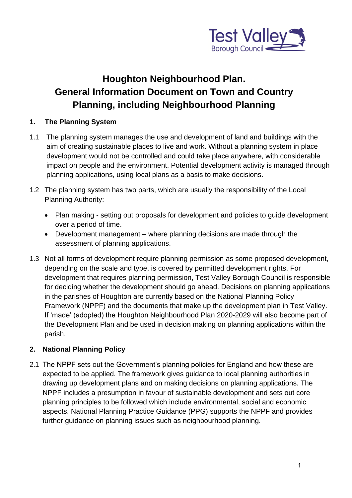

# **Houghton Neighbourhood Plan. General Information Document on Town and Country Planning, including Neighbourhood Planning**

#### **1. The Planning System**

- 1.1 The planning system manages the use and development of land and buildings with the aim of creating sustainable places to live and work. Without a planning system in place development would not be controlled and could take place anywhere, with considerable impact on people and the environment. Potential development activity is managed through planning applications, using local plans as a basis to make decisions.
- 1.2 The planning system has two parts, which are usually the responsibility of the Local Planning Authority:
	- Plan making setting out proposals for development and policies to guide development over a period of time.
	- Development management where planning decisions are made through the assessment of planning applications.
- 1.3 Not all forms of development require planning permission as some proposed development, depending on the scale and type, is covered by permitted development rights. For development that requires planning permission, Test Valley Borough Council is responsible for deciding whether the development should go ahead. Decisions on planning applications in the parishes of Houghton are currently based on the National Planning Policy Framework (NPPF) and the documents that make up the development plan in Test Valley. If 'made' (adopted) the Houghton Neighbourhood Plan 2020-2029 will also become part of the Development Plan and be used in decision making on planning applications within the parish.

#### **2. National Planning Policy**

2.1 The NPPF sets out the Government's planning policies for England and how these are expected to be applied. The framework gives guidance to local planning authorities in drawing up development plans and on making decisions on planning applications. The NPPF includes a presumption in favour of sustainable development and sets out core planning principles to be followed which include environmental, social and economic aspects. National Planning Practice Guidance (PPG) supports the NPPF and provides further guidance on planning issues such as neighbourhood planning.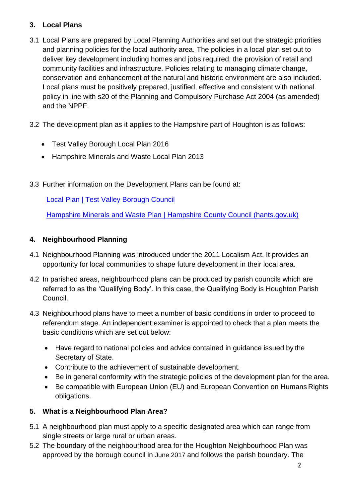### **3. Local Plans**

- 3.1 Local Plans are prepared by Local Planning Authorities and set out the strategic priorities and planning policies for the local authority area. The policies in a local plan set out to deliver key development including homes and jobs required, the provision of retail and community facilities and infrastructure. Policies relating to managing climate change, conservation and enhancement of the natural and historic environment are also included. Local plans must be positively prepared, justified, effective and consistent with national policy in line with s20 of the Planning and Compulsory Purchase Act 2004 (as amended) and the NPPF.
- 3.2 The development plan as it applies to the Hampshire part of Houghton is as follows:
	- Test Valley Borough Local Plan 2016
	- Hampshire Minerals and Waste Local Plan 2013
- 3.3 Further information on the Development Plans can be found at:

[Local Plan | Test Valley Borough Council](https://www.testvalley.gov.uk/planning-and-building/planningpolicy/local-development-framework)

[Hampshire Minerals and Waste Plan | Hampshire County Council \(hants.gov.uk\)](https://www.hants.gov.uk/landplanningandenvironment/strategic-planning/hampshire-minerals-waste-plan)

## **4. Neighbourhood Planning**

- 4.1 Neighbourhood Planning was introduced under the 2011 Localism Act. It provides an opportunity for local communities to shape future development in their local area.
- 4.2 In parished areas, neighbourhood plans can be produced by parish councils which are referred to as the 'Qualifying Body'. In this case, the Qualifying Body is Houghton Parish Council.
- 4.3 Neighbourhood plans have to meet a number of basic conditions in order to proceed to referendum stage. An independent examiner is appointed to check that a plan meets the basic conditions which are set out below:
	- Have regard to national policies and advice contained in guidance issued by the Secretary of State.
	- Contribute to the achievement of sustainable development.
	- Be in general conformity with the strategic policies of the development plan for the area.
	- Be compatible with European Union (EU) and European Convention on Humans Rights obligations.

## **5. What is a Neighbourhood Plan Area?**

- 5.1 A neighbourhood plan must apply to a specific designated area which can range from single streets or large rural or urban areas.
- 5.2 The boundary of the neighbourhood area for the Houghton Neighbourhood Plan was approved by the borough council in June 2017 and follows the parish boundary. The